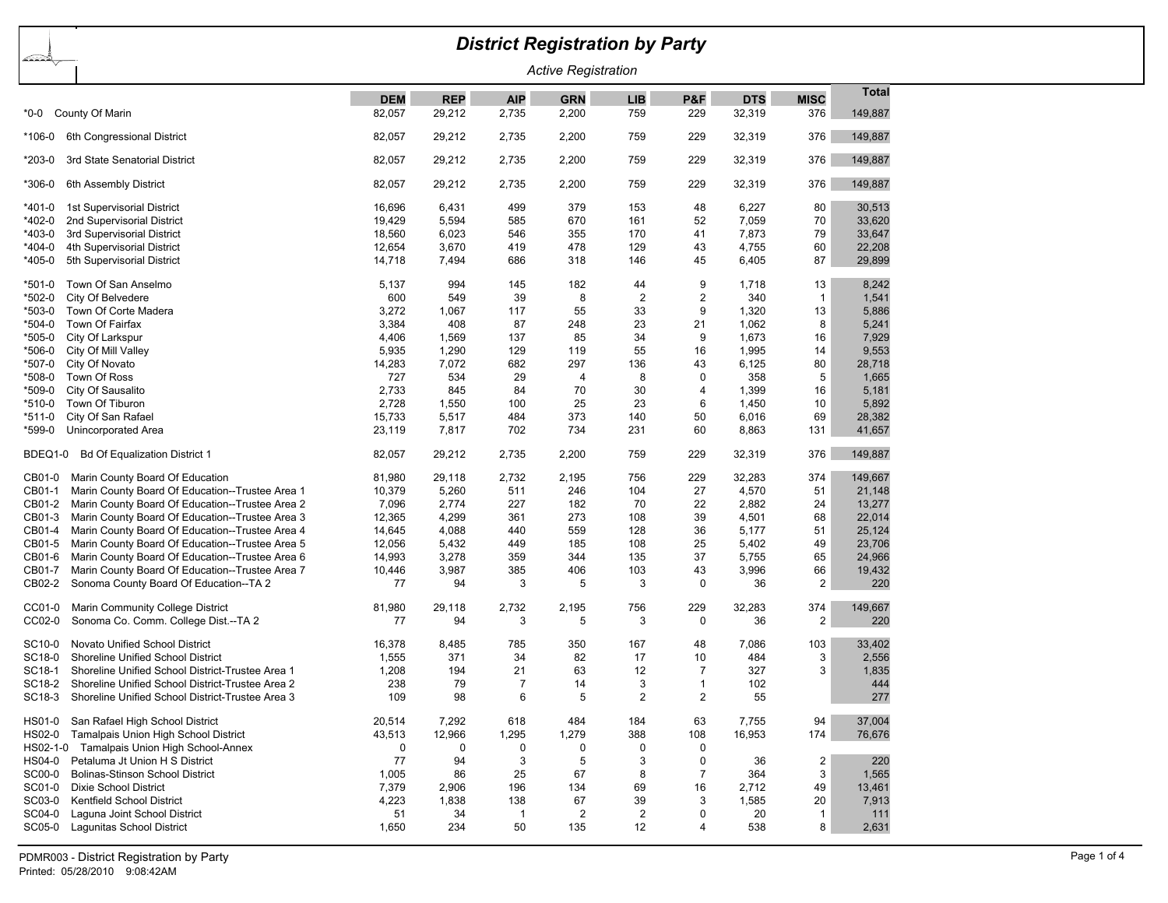## *District Registration by Party*

*Active Registration*

|               |                                                  | <b>DEM</b> | <b>REP</b>  | <b>AIP</b>     | <b>GRN</b>     | <b>LIB</b>     | P&F            | <b>DTS</b> | <b>MISC</b>             | <b>Total</b> |
|---------------|--------------------------------------------------|------------|-------------|----------------|----------------|----------------|----------------|------------|-------------------------|--------------|
| *0-0          | County Of Marin                                  | 82,057     | 29,212      | 2,735          | 2,200          | 759            | 229            | 32,319     | 376                     | 149,887      |
| *106-0        | 6th Congressional District                       | 82,057     | 29,212      | 2,735          | 2,200          | 759            | 229            | 32,319     | 376                     | 149,887      |
| *203-0        | 3rd State Senatorial District                    | 82,057     | 29,212      | 2,735          | 2,200          | 759            | 229            | 32,319     | 376                     | 149,887      |
| *306-0        | 6th Assembly District                            | 82,057     | 29,212      | 2,735          | 2,200          | 759            | 229            | 32,319     | 376                     | 149,887      |
| *401-0        | 1st Supervisorial District                       | 16,696     | 6,431       | 499            | 379            | 153            | 48             | 6,227      | 80                      | 30,513       |
| *402-0        | 2nd Supervisorial District                       | 19,429     | 5,594       | 585            | 670            | 161            | 52             | 7,059      | 70                      | 33,620       |
| *403-0        | 3rd Supervisorial District                       | 18,560     | 6.023       | 546            | 355            | 170            | 41             | 7,873      | 79                      | 33,647       |
| *404-0        | 4th Supervisorial District                       | 12,654     | 3,670       | 419            | 478            | 129            | 43             | 4,755      | 60                      | 22,208       |
| *405-0        | 5th Supervisorial District                       | 14,718     | 7,494       | 686            | 318            | 146            | 45             | 6,405      | 87                      | 29,899       |
| $*501-0$      | Town Of San Anselmo                              | 5,137      | 994         | 145            | 182            | 44             | 9              | 1,718      | 13                      | 8,242        |
| *502-0        | City Of Belvedere                                | 600        | 549         | 39             | 8              | $\overline{c}$ | $\sqrt{2}$     | 340        | $\mathbf{1}$            | 1,541        |
| *503-0        | Town Of Corte Madera                             | 3,272      | 1,067       | 117            | 55             | 33             | 9              | 1,320      | 13                      | 5,886        |
| *504-0        | Town Of Fairfax                                  | 3,384      | 408         | 87             | 248            | 23             | 21             | 1,062      | 8                       | 5,241        |
| *505-0        | City Of Larkspur                                 | 4,406      | 1,569       | 137            | 85             | 34             | 9              | 1,673      | 16                      | 7,929        |
| *506-0        | City Of Mill Valley                              | 5,935      | 1,290       | 129            | 119            | 55             | 16             | 1,995      | 14                      | 9,553        |
| *507-0        | City Of Novato                                   | 14,283     | 7,072       | 682            | 297            | 136            | 43             | 6,125      | 80                      | 28,718       |
| *508-0        | Town Of Ross                                     | 727        | 534         | 29             | 4              | 8              | $\mathbf 0$    | 358        | $\sqrt{5}$              | 1,665        |
| *509-0        | City Of Sausalito                                | 2,733      | 845         | 84             | 70             | 30             | $\overline{4}$ | 1,399      | 16                      | 5,181        |
| *510-0        | Town Of Tiburon                                  | 2,728      | 1,550       | 100            | 25             | 23             | 6              | 1,450      | 10                      | 5,892        |
| *511-0        | City Of San Rafael                               | 15,733     | 5,517       | 484            | 373            | 140            | 50             | 6,016      | 69                      | 28,382       |
| *599-0        | Unincorporated Area                              | 23,119     | 7,817       | 702            | 734            | 231            | 60             | 8,863      | 131                     | 41,657       |
| BDEQ1-0       | <b>Bd Of Equalization District 1</b>             | 82,057     | 29,212      | 2,735          | 2,200          | 759            | 229            | 32,319     | 376                     | 149,887      |
| CB01-0        | Marin County Board Of Education                  | 81,980     | 29.118      | 2,732          | 2,195          | 756            | 229            | 32,283     | 374                     | 149.667      |
| CB01-1        | Marin County Board Of Education--Trustee Area 1  | 10,379     | 5,260       | 511            | 246            | 104            | 27             | 4,570      | 51                      | 21,148       |
| CB01-2        | Marin County Board Of Education--Trustee Area 2  | 7,096      | 2,774       | 227            | 182            | 70             | 22             | 2,882      | 24                      | 13,277       |
| CB01-3        | Marin County Board Of Education--Trustee Area 3  | 12,365     | 4,299       | 361            | 273            | 108            | 39             | 4,501      | 68                      | 22,014       |
| CB01-4        | Marin County Board Of Education--Trustee Area 4  | 14,645     | 4,088       | 440            | 559            | 128            | 36             | 5,177      | 51                      | 25,124       |
| CB01-5        | Marin County Board Of Education--Trustee Area 5  | 12,056     | 5,432       | 449            | 185            | 108            | 25             | 5,402      | 49                      | 23,706       |
| CB01-6        | Marin County Board Of Education--Trustee Area 6  | 14,993     | 3,278       | 359            | 344            | 135            | 37             | 5,755      | 65                      | 24,966       |
| CB01-7        | Marin County Board Of Education--Trustee Area 7  | 10,446     | 3,987       | 385            | 406            | 103            | 43             | 3,996      | 66                      | 19,432       |
| CB02-2        | Sonoma County Board Of Education--TA 2           | 77         | 94          | 3              | 5              | 3              | $\mathbf 0$    | 36         | 2                       | 220          |
| CC01-0        | Marin Community College District                 | 81,980     | 29,118      | 2,732          | 2,195          | 756            | 229            | 32,283     | 374                     | 149,667      |
| CC02-0        | Sonoma Co. Comm. College Dist.--TA 2             | 77         | 94          | 3              | 5              | 3              | $\mathbf 0$    | 36         | $\overline{\mathbf{c}}$ | 220          |
| SC10-0        | Novato Unified School District                   | 16,378     | 8,485       | 785            | 350            | 167            | 48             | 7,086      | 103                     | 33,402       |
| SC18-0        | Shoreline Unified School District                | 1,555      | 371         | 34             | 82             | 17             | 10             | 484        | 3                       | 2,556        |
| SC18-1        | Shoreline Unified School District-Trustee Area 1 | 1,208      | 194         | 21             | 63             | 12             | $\overline{7}$ | 327        | 3                       | 1,835        |
| SC18-2        | Shoreline Unified School District-Trustee Area 2 | 238        | 79          | $\overline{7}$ | 14             | 3              | $\mathbf{1}$   | 102        |                         | 444          |
| SC18-3        | Shoreline Unified School District-Trustee Area 3 | 109        | 98          | 6              | 5              | $\overline{2}$ | $\overline{2}$ | 55         |                         | 277          |
| HS01-0        | San Rafael High School District                  | 20,514     | 7,292       | 618            | 484            | 184            | 63             | 7,755      | 94                      | 37,004       |
| HS02-0        | Tamalpais Union High School District             | 43,513     | 12,966      | 1,295          | 1,279          | 388            | 108            | 16,953     | 174                     | 76,676       |
|               | HS02-1-0 Tamalpais Union High School-Annex       | 0          | $\mathbf 0$ | 0              | 0              | 0              | $\mathbf 0$    |            |                         |              |
| HS04-0        | Petaluma Jt Union H S District                   | 77         | 94          | 3              | 5              | 3              | $\mathbf 0$    | 36         | $\overline{2}$          | 220          |
| <b>SC00-0</b> | <b>Bolinas-Stinson School District</b>           | 1,005      | 86          | 25             | 67             | 8              | $\overline{7}$ | 364        | $\mathbf{3}$            | 1,565        |
| SC01-0        | <b>Dixie School District</b>                     | 7,379      | 2,906       | 196            | 134            | 69             | 16             | 2,712      | 49                      | 13,461       |
| SC03-0        | Kentfield School District                        | 4,223      | 1,838       | 138            | 67             | 39             | 3              | 1,585      | 20                      | 7,913        |
| SC04-0        | Laguna Joint School District                     | 51         | 34          | $\mathbf{1}$   | $\overline{2}$ | $\overline{2}$ | 0              | 20         | $\mathbf{1}$            | 111          |
| SC05-0        | Lagunitas School District                        | 1,650      | 234         | 50             | 135            | 12             | 4              | 538        | 8                       | 2,631        |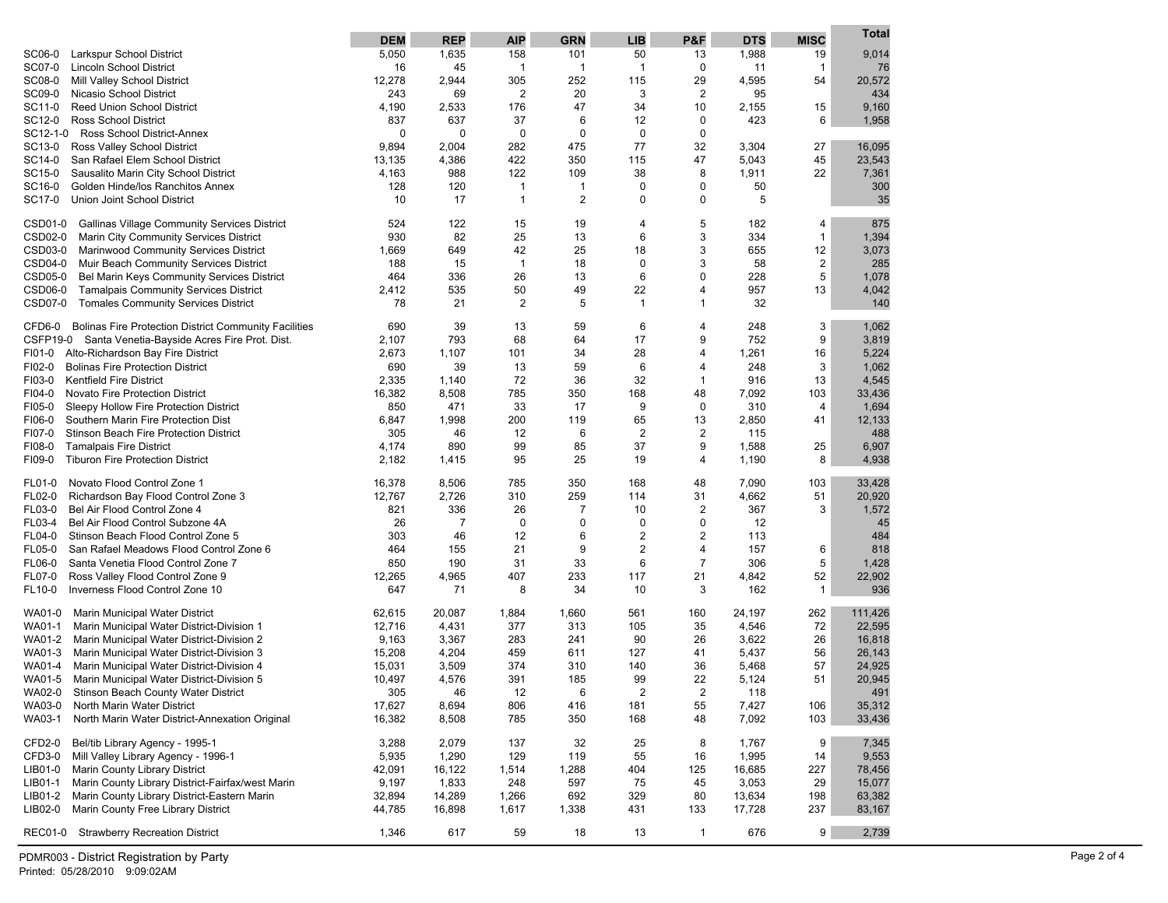|                                                                                                  | <b>DEM</b>       | <b>REP</b>       | <b>AIP</b>     | <b>GRN</b>     | <b>LIB</b>     | P&F            | <b>DTS</b>       | <b>MISC</b>    | Total             |
|--------------------------------------------------------------------------------------------------|------------------|------------------|----------------|----------------|----------------|----------------|------------------|----------------|-------------------|
| SC06-0<br>Larkspur School District                                                               | 5,050            | 1,635            | 158            | 101            | 50             | 13             | 1,988            | 19             | 9,014             |
| SC07-0<br><b>Lincoln School District</b>                                                         | 16               | 45               | $\mathbf{1}$   | $\mathbf{1}$   | $\overline{1}$ | $\mathbf 0$    | 11               | $\mathbf{1}$   | 76                |
| SC08-0<br>Mill Valley School District                                                            | 12,278           | 2,944            | 305            | 252            | 115            | 29             | 4,595            | 54             | 20,572            |
| SC09-0<br>Nicasio School District                                                                | 243              | 69               | $\overline{2}$ | 20             | 3              | 2              | 95               |                | 434               |
| SC11-0<br><b>Reed Union School District</b>                                                      | 4,190            | 2,533            | 176            | 47             | 34             | 10             | 2,155            | 15             | 9,160             |
| SC12-0<br><b>Ross School District</b>                                                            | 837              | 637              | 37             | 6              | 12             | 0              | 423              | 6              | 1,958             |
| SC12-1-0<br>Ross School District-Annex                                                           | $\mathbf 0$      | $\mathbf 0$      | 0              | 0              | 0              | 0              |                  |                |                   |
| SC13-0<br>Ross Valley School District                                                            | 9,894            | 2,004            | 282            | 475            | 77             | 32             | 3,304            | 27             | 16,095            |
| SC14-0<br>San Rafael Elem School District                                                        | 13,135           | 4,386            | 422            | 350            | 115            | 47             | 5,043            | 45             | 23,543            |
| SC15-0<br>Sausalito Marin City School District                                                   | 4,163            | 988              | 122            | 109            | 38             | 8              | 1,911            | 22             | 7,361             |
| SC16-0<br>Golden Hinde/los Ranchitos Annex                                                       | 128              | 120              | $\mathbf{1}$   | 1              | 0              | 0              | 50               |                | 300               |
| SC17-0<br>Union Joint School District                                                            | 10               | 17               | $\mathbf{1}$   | 2              | 0              | 0              | 5                |                | 35                |
| CSD01-0<br><b>Gallinas Village Community Services District</b>                                   | 524              | 122              | 15             | 19             | 4              | 5              | 182              | 4              | 875               |
| CSD02-0<br>Marin City Community Services District                                                | 930              | 82               | 25             | 13             | 6              | 3              | 334              | $\mathbf{1}$   | 1,394             |
| CSD03-0<br><b>Marinwood Community Services District</b>                                          | 1,669            | 649              | 42             | 25             | 18             | 3              | 655              | 12             | 3,073             |
| CSD04-0<br>Muir Beach Community Services District                                                | 188              | 15               | $\mathbf{1}$   | 18             | 0              | 3              | 58               | $\overline{2}$ | 285               |
| CSD05-0<br>Bel Marin Keys Community Services District                                            | 464              | 336              | 26             | 13             | 6              | 0              | 228              | 5              | 1,078             |
| CSD06-0<br><b>Tamalpais Community Services District</b>                                          | 2,412            | 535              | 50             | 49             | 22             | 4              | 957              | 13             | 4,042             |
| CSD07-0<br><b>Tomales Community Services District</b>                                            | 78               | 21               | $\overline{2}$ | 5              | $\mathbf{1}$   | $\mathbf{1}$   | 32               |                | 140               |
| <b>Bolinas Fire Protection District Community Facilities</b><br>CFD6-0                           | 690              | 39               | 13             | 59             | 6              | 4              | 248              | 3              | 1,062             |
| CSFP19-0 Santa Venetia-Bayside Acres Fire Prot. Dist.                                            | 2,107            | 793              | 68             | 64             | 17             | 9              | 752              | 9              | 3,819             |
| Alto-Richardson Bay Fire District<br>FI01-0                                                      | 2,673            | 1,107            | 101            | 34             | 28             | 4              | 1,261            | 16             | 5,224             |
| FI02-0<br><b>Bolinas Fire Protection District</b>                                                | 690              | 39               | 13             | 59             | 6              | 4              | 248              | 3              | 1,062             |
| FI03-0<br><b>Kentfield Fire District</b>                                                         | 2,335            | 1,140            | 72             | 36             | 32             | $\mathbf{1}$   | 916              | 13             | 4,545             |
| FI04-0<br>Novato Fire Protection District                                                        | 16,382           | 8,508            | 785            | 350            | 168            | 48             | 7,092            | 103            | 33,436            |
| FI05-0<br>Sleepy Hollow Fire Protection District                                                 | 850              | 471              | 33             | 17             | 9              | $\pmb{0}$      | 310              | $\overline{4}$ | 1,694             |
| FI06-0<br>Southern Marin Fire Protection Dist                                                    | 6,847            | 1,998            | 200            | 119            | 65             | 13             | 2,850            | 41             | 12,133            |
| FI07-0<br>Stinson Beach Fire Protection District                                                 | 305              | 46               | 12             | 6              | $\overline{c}$ | 2              | 115              |                | 488               |
| FI08-0<br><b>Tamalpais Fire District</b>                                                         | 4,174            | 890              | 99             | 85             | 37             | 9              | 1,588            | 25             | 6,907             |
| FI09-0<br><b>Tiburon Fire Protection District</b>                                                | 2,182            | 1,415            | 95             | 25             | 19             | 4              | 1,190            | 8              | 4,938             |
| Novato Flood Control Zone 1<br>FL01-0                                                            | 16,378           | 8,506            | 785            | 350            | 168            | 48             | 7,090            | 103            | 33,428            |
| FL02-0<br>Richardson Bay Flood Control Zone 3                                                    | 12,767           | 2,726            | 310            | 259            | 114            | 31             | 4,662            | 51             | 20,920            |
| FL03-0<br>Bel Air Flood Control Zone 4                                                           | 821              | 336              | 26             | $\overline{7}$ | 10             | 2              | 367              | 3              | 1,572             |
| FL03-4<br>Bel Air Flood Control Subzone 4A                                                       | 26               | $\overline{7}$   | 0              | 0              | 0              | 0              | 12               |                | 45                |
| FL04-0<br>Stinson Beach Flood Control Zone 5                                                     | 303              | 46               | 12             | 6              | $\overline{2}$ | 2              | 113              |                | 484               |
| FL05-0<br>San Rafael Meadows Flood Control Zone 6                                                | 464              | 155              | 21             | 9              | $\overline{2}$ | 4              | 157              | 6              | 818               |
| FL06-0<br>Santa Venetia Flood Control Zone 7                                                     | 850              | 190              | 31             | 33             | 6              | $\overline{7}$ | 306              | 5              | 1,428             |
| FL07-0<br>Ross Valley Flood Control Zone 9                                                       | 12,265           | 4,965            | 407            | 233            | 117            | 21             | 4,842            | 52             | 22,902            |
| FL10-0<br>Inverness Flood Control Zone 10                                                        | 647              | 71               | 8              | 34             | 10             | 3              | 162              | $\mathbf{1}$   | 936               |
|                                                                                                  |                  |                  |                |                |                |                |                  |                |                   |
| WA01-0<br>Marin Municipal Water District<br>WA01-1                                               | 62,615           | 20,087<br>4,431  | 1,884<br>377   | 1,660<br>313   | 561<br>105     | 160<br>35      | 24,197<br>4,546  | 262<br>72      | 111,426<br>22,595 |
| Marin Municipal Water District-Division 1<br>WA01-2<br>Marin Municipal Water District-Division 2 | 12,716<br>9,163  | 3,367            | 283            | 241            | 90             | 26             | 3,622            | 26             | 16,818            |
| WA01-3<br>Marin Municipal Water District-Division 3                                              | 15,208           | 4,204            | 459            | 611            | 127            | 41             | 5,437            | 56             | 26,143            |
| WA01-4<br>Marin Municipal Water District-Division 4                                              | 15,031           | 3,509            | 374            | 310            | 140            | 36             | 5,468            | 57             | 24,925            |
| WA01-5<br>Marin Municipal Water District-Division 5                                              | 10,497           | 4,576            | 391            | 185            | 99             | 22             | 5,124            | 51             | 20,945            |
| WA02-0<br><b>Stinson Beach County Water District</b>                                             | 305              | 46               | 12             | 6              | 2              | 2              | 118              |                | 491               |
| WA03-0<br>North Marin Water District                                                             | 17,627           | 8,694            | 806            | 416            | 181            | 55             | 7,427            | 106            | 35,312            |
| WA03-1<br>North Marin Water District-Annexation Original                                         | 16,382           | 8,508            | 785            | 350            | 168            | 48             | 7,092            | 103            | 33,436            |
|                                                                                                  |                  |                  |                |                |                |                |                  |                |                   |
| CFD2-0<br>Bel/tib Library Agency - 1995-1                                                        | 3,288            | 2,079            | 137            | 32             | 25             | 8              | 1,767            | 9              | 7,345             |
| CFD3-0<br>Mill Valley Library Agency - 1996-1                                                    | 5,935            | 1,290            | 129            | 119            | 55             | 16             | 1,995            | 14             | 9,553             |
| LIB01-0<br>Marin County Library District<br>Marin County Library District-Fairfax/west Marin     | 42,091           | 16,122           | 1,514          | 1,288          | 404            | 125            | 16,685           | 227            | 78,456            |
| LIB01-1<br>Marin County Library District-Eastern Marin                                           | 9,197            | 1,833            | 248            | 597            | 75             | 45             | 3,053            | 29             | 15,077            |
| LIB01-2<br>LIB02-0<br>Marin County Free Library District                                         | 32,894<br>44,785 | 14,289<br>16,898 | 1,266<br>1,617 | 692<br>1,338   | 329<br>431     | 80<br>133      | 13,634<br>17,728 | 198<br>237     | 63,382<br>83,167  |
| <b>REC01-0</b><br><b>Strawberry Recreation District</b>                                          | 1,346            | 617              | 59             |                |                | $\mathbf{1}$   | 676              | 9              | 2,739             |
|                                                                                                  |                  |                  |                | 18             | 13             |                |                  |                |                   |

PDMR003 - District Registration by Party Printed: 05/28/2010 9:09:02AM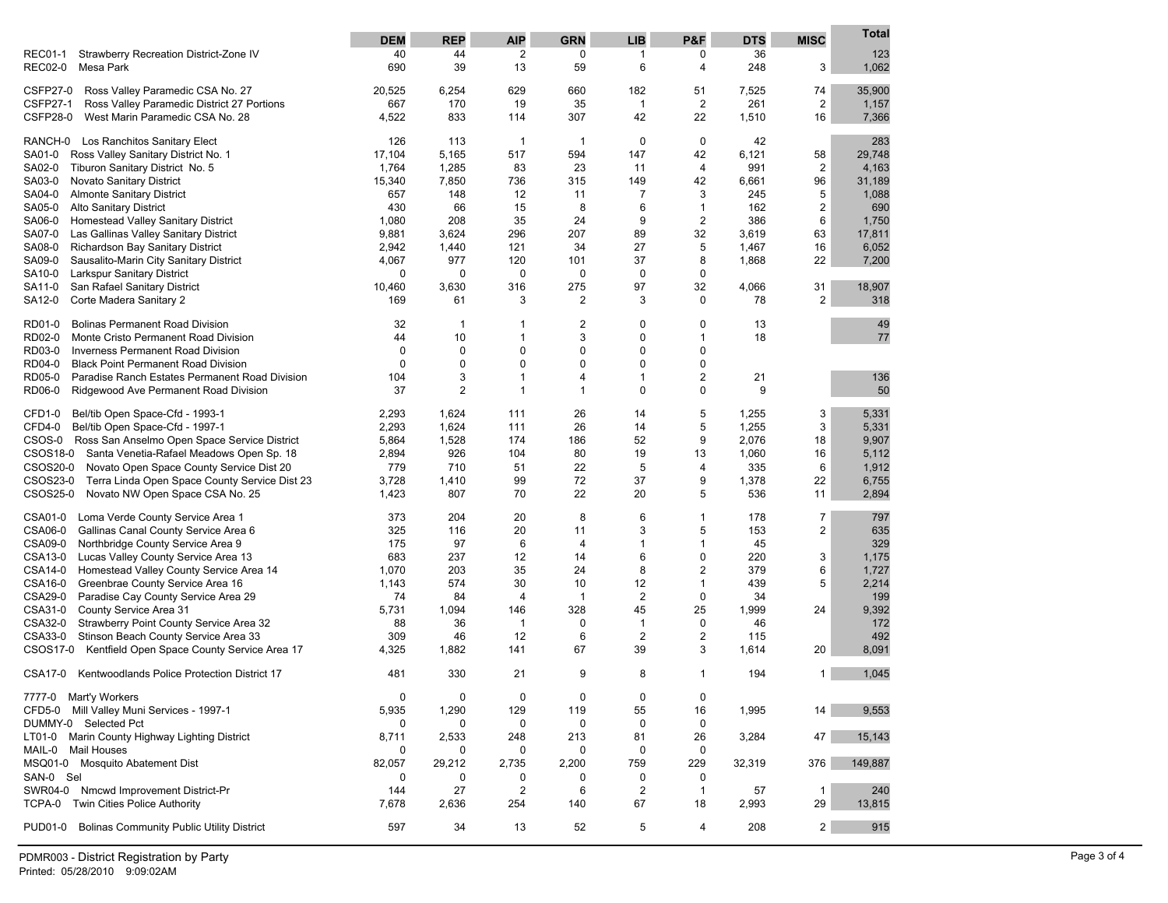|                                                                                       | <b>DEM</b>  | <b>REP</b>     | <b>AIP</b>     | <b>GRN</b>         | <b>LIB</b>                    | P&F                         | <b>DTS</b> | <b>MISC</b>    | Total        |
|---------------------------------------------------------------------------------------|-------------|----------------|----------------|--------------------|-------------------------------|-----------------------------|------------|----------------|--------------|
| Strawberry Recreation District-Zone IV<br><b>REC01-1</b>                              | 40          | 44             | 2              | 0                  | 1                             | 0                           | 36         |                | 123          |
| <b>REC02-0</b><br>Mesa Park                                                           | 690         | 39             | 13             | 59                 | 6                             | 4                           | 248        | 3              | 1,062        |
| <b>CSFP27-0</b><br>Ross Valley Paramedic CSA No. 27                                   | 20,525      | 6,254          | 629            | 660                | 182                           | 51                          | 7,525      | 74             | 35,900       |
| <b>CSFP27-1</b><br>Ross Valley Paramedic District 27 Portions                         | 667         | 170            | 19             | 35                 | $\mathbf{1}$                  | $\overline{2}$              | 261        | $\overline{2}$ | 1,157        |
| <b>CSFP28-0</b><br>West Marin Paramedic CSA No. 28                                    | 4,522       | 833            | 114            | 307                | 42                            | 22                          | 1,510      | 16             | 7,366        |
| RANCH-0 Los Ranchitos Sanitary Elect                                                  | 126         | 113            | $\overline{1}$ | $\mathbf{1}$       | 0                             | $\mathbf 0$                 | 42         |                | 283          |
| Ross Valley Sanitary District No. 1<br>SA01-0                                         | 17,104      | 5,165          | 517            | 594                | 147                           | 42                          | 6,121      | 58             | 29,748       |
| Tiburon Sanitary District No. 5<br>SA02-0                                             | 1,764       | 1,285          | 83             | 23                 | 11                            | 4                           | 991        | $\overline{2}$ | 4,163        |
| SA03-0<br>Novato Sanitary District                                                    | 15,340      | 7,850          | 736            | 315                | 149                           | 42                          | 6,661      | 96             | 31,189       |
| SA04-0<br><b>Almonte Sanitary District</b><br>SA05-0<br><b>Alto Sanitary District</b> | 657<br>430  | 148<br>66      | 12<br>15       | 11<br>8            | 7<br>6                        | 3                           | 245<br>162 | 5              | 1,088<br>690 |
| Homestead Valley Sanitary District<br>SA06-0                                          | 1,080       | 208            | 35             | 24                 | 9                             | $\mathbf{1}$<br>2           | 386        | 2<br>6         | 1,750        |
| SA07-0<br>Las Gallinas Valley Sanitary District                                       | 9,881       | 3,624          | 296            | 207                | 89                            | 32                          | 3,619      | 63             | 17,811       |
| SA08-0<br>Richardson Bay Sanitary District                                            | 2,942       | 1,440          | 121            | 34                 | 27                            | 5                           | 1,467      | 16             | 6,052        |
| SA09-0<br>Sausalito-Marin City Sanitary District                                      | 4,067       | 977            | 120            | 101                | 37                            | 8                           | 1,868      | 22             | 7,200        |
| Larkspur Sanitary District<br>SA10-0                                                  | 0           | $\mathbf 0$    | 0              | 0                  | 0                             | $\mathbf 0$                 |            |                |              |
| San Rafael Sanitary District<br>SA11-0                                                | 10,460      | 3,630          | 316            | 275                | 97                            | 32                          | 4,066      | 31             | 18,907       |
| SA12-0<br>Corte Madera Sanitary 2                                                     | 169         | 61             | 3              | 2                  | 3                             | 0                           | 78         | 2              | 318          |
| <b>Bolinas Permanent Road Division</b><br>RD01-0                                      | 32          | $\mathbf{1}$   | 1              | 2                  | 0                             | $\mathbf 0$                 | 13         |                | 49           |
| RD02-0<br>Monte Cristo Permanent Road Division                                        | 44          | 10             | 1              | 3                  | 0                             | $\mathbf{1}$                | 18         |                | 77           |
| RD03-0<br><b>Inverness Permanent Road Division</b>                                    | 0           | $\mathbf 0$    | 0              | 0                  | 0                             | 0                           |            |                |              |
| <b>Black Point Permanent Road Division</b><br>RD04-0                                  | 0           | $\mathbf 0$    | 0              | 0                  | 0                             | $\mathbf 0$                 |            |                |              |
| RD05-0<br>Paradise Ranch Estates Permanent Road Division                              | 104         | 3              | $\mathbf 1$    | 4                  | $\mathbf{1}$                  | $\overline{2}$              | 21         |                | 136          |
| RD06-0<br>Ridgewood Ave Permanent Road Division                                       | 37          | $\overline{2}$ | $\mathbf 1$    | $\mathbf{1}$       | $\mathbf 0$                   | $\mathbf 0$                 | 9          |                | 50           |
| Bel/tib Open Space-Cfd - 1993-1<br>CFD1-0                                             | 2,293       | 1,624          | 111            | 26                 | 14                            | 5                           | 1,255      | 3              | 5,331        |
| CFD4-0<br>Bel/tib Open Space-Cfd - 1997-1                                             | 2,293       | 1,624          | 111            | 26                 | 14                            | 5                           | 1,255      | 3              | 5,331        |
| CSOS-0 Ross San Anselmo Open Space Service District                                   | 5,864       | 1,528          | 174            | 186                | 52                            | 9                           | 2,076      | 18             | 9,907        |
| CSOS18-0 Santa Venetia-Rafael Meadows Open Sp. 18                                     | 2,894       | 926            | 104            | 80                 | 19                            | 13                          | 1,060      | 16             | 5,112        |
| CSOS20-0<br>Novato Open Space County Service Dist 20                                  | 779         | 710            | 51             | 22                 | 5                             | $\overline{4}$              | 335        | 6              | 1,912        |
| CSOS23-0<br>Terra Linda Open Space County Service Dist 23                             | 3,728       | 1,410          | 99             | 72                 | 37                            | 9                           | 1,378      | 22             | 6,755        |
| CSOS25-0<br>Novato NW Open Space CSA No. 25                                           | 1,423       | 807            | 70             | 22                 | 20                            | 5                           | 536        | 11             | 2,894        |
| CSA01-0<br>Loma Verde County Service Area 1                                           | 373         | 204            | 20             | 8                  | 6                             | $\mathbf{1}$                | 178        | $\overline{7}$ | 797          |
| <b>CSA06-0</b><br>Gallinas Canal County Service Area 6                                | 325         | 116            | 20             | 11                 | 3                             | 5                           | 153        | 2              | 635          |
| <b>CSA09-0</b><br>Northbridge County Service Area 9                                   | 175         | 97             | 6              | 4                  | $\mathbf{1}$                  | $\mathbf{1}$                | 45         |                | 329          |
| CSA13-0<br>Lucas Valley County Service Area 13                                        | 683         | 237            | 12             | 14                 | 6                             | $\mathbf 0$                 | 220        | 3              | 1,175        |
| CSA14-0<br>Homestead Valley County Service Area 14                                    | 1,070       | 203            | 35             | 24                 | 8                             | $\overline{2}$              | 379        | 6              | 1,727        |
| CSA16-0<br>Greenbrae County Service Area 16<br>CSA29-0                                | 1,143<br>74 | 574<br>84      | 30<br>4        | 10<br>$\mathbf{1}$ | 12                            | $\mathbf{1}$<br>$\mathbf 0$ | 439<br>34  | 5              | 2,214        |
| Paradise Cay County Service Area 29<br>CSA31-0<br>County Service Area 31              | 5,731       | 1,094          | 146            | 328                | $\overline{\mathbf{c}}$<br>45 | 25                          | 1,999      | 24             | 199<br>9,392 |
| CSA32-0<br>Strawberry Point County Service Area 32                                    | 88          | 36             | 1              | 0                  | 1                             | $\mathbf 0$                 | 46         |                | 172          |
| CSA33-0<br>Stinson Beach County Service Area 33                                       | 309         | 46             | 12             | 6                  | $\overline{2}$                | $\overline{2}$              | 115        |                | 492          |
| CSOS17-0<br>Kentfield Open Space County Service Area 17                               | 4,325       | 1,882          | 141            | 67                 | 39                            | 3                           | 1,614      | 20             | 8,091        |
| CSA17-0<br>Kentwoodlands Police Protection District 17                                | 481         | 330            | 21             | 9                  | 8                             | $\mathbf{1}$                | 194        | $\mathbf{1}$   | 1,045        |
| 7777-0 Mart'y Workers                                                                 | 0           | $\mathbf 0$    | 0              | 0                  | 0                             | 0                           |            |                |              |
| CFD5-0 Mill Valley Muni Services - 1997-1                                             | 5,935       | 1,290          | 129            | 119                | 55                            | 16                          | 1,995      | 14             | 9,553        |
| DUMMY-0 Selected Pct                                                                  | 0           | 0              | 0              | 0                  | 0                             | 0                           |            |                |              |
| LT01-0 Marin County Highway Lighting District                                         | 8,711       | 2,533          | 248            | 213                | 81                            | 26                          | 3,284      | 47             | 15,143       |
| MAIL-0 Mail Houses                                                                    | 0           | 0              | 0              | 0                  | 0                             | $\mathbf 0$                 |            |                |              |
| MSQ01-0 Mosquito Abatement Dist                                                       | 82,057      | 29,212         | 2,735          | 2,200              | 759                           | 229                         | 32,319     | 376            | 149,887      |
| SAN-0 Sel                                                                             | 0           | 0              | 0              | 0                  | 0                             | 0                           |            |                |              |
| SWR04-0 Nmcwd Improvement District-Pr                                                 | 144         | 27             | 2              | 6                  | $\overline{\mathbf{c}}$       | $\mathbf{1}$                | 57         | $\mathbf{1}$   | 240          |
| Twin Cities Police Authority<br>TCPA-0                                                | 7,678       | 2,636          | 254            | 140                | 67                            | 18                          | 2,993      | 29             | 13,815       |
| <b>Bolinas Community Public Utility District</b><br><b>PUD01-0</b>                    | 597         | 34             | 13             | 52                 | 5                             | 4                           | 208        | $\overline{2}$ | 915          |